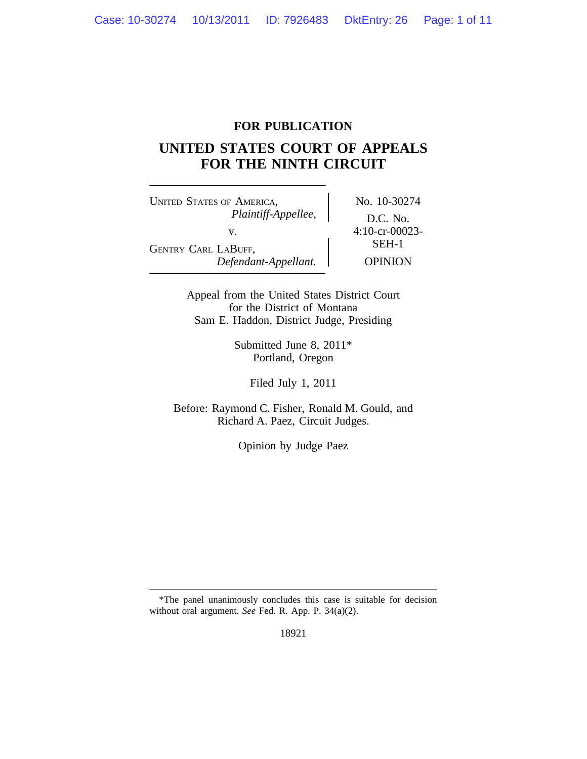## **FOR PUBLICATION**

# **UNITED STATES COURT OF APPEALS FOR THE NINTH CIRCUIT**

UNITED STATES OF AMERICA, No. 10-30274 *Plaintiff-Appellee,* D.C. No. v.  $4:10\text{-}cr-00023-$ <br>SEH-1 GENTRY CARL LABUFF, *Defendant-Appellant.* OPINION

Appeal from the United States District Court for the District of Montana Sam E. Haddon, District Judge, Presiding

> Submitted June 8, 2011\* Portland, Oregon

> > Filed July 1, 2011

Before: Raymond C. Fisher, Ronald M. Gould, and Richard A. Paez, Circuit Judges.

Opinion by Judge Paez

<sup>\*</sup>The panel unanimously concludes this case is suitable for decision without oral argument. *See* Fed. R. App. P. 34(a)(2).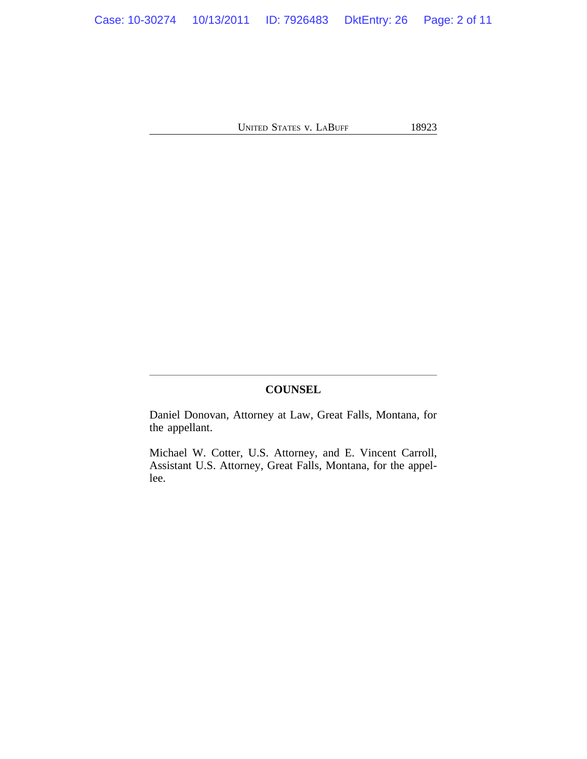## **COUNSEL**

Daniel Donovan, Attorney at Law, Great Falls, Montana, for the appellant.

Michael W. Cotter, U.S. Attorney, and E. Vincent Carroll, Assistant U.S. Attorney, Great Falls, Montana, for the appellee.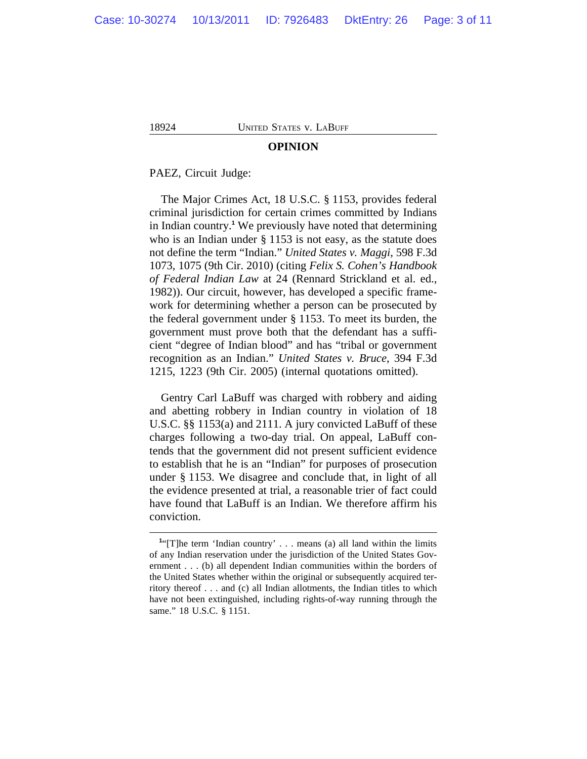#### **OPINION**

PAEZ, Circuit Judge:

The Major Crimes Act, 18 U.S.C. § 1153, provides federal criminal jurisdiction for certain crimes committed by Indians in Indian country.**<sup>1</sup>** We previously have noted that determining who is an Indian under § 1153 is not easy, as the statute does not define the term "Indian." *United States v. Maggi*, 598 F.3d 1073, 1075 (9th Cir. 2010) (citing *Felix S. Cohen's Handbook of Federal Indian Law* at 24 (Rennard Strickland et al. ed., 1982)). Our circuit, however, has developed a specific framework for determining whether a person can be prosecuted by the federal government under § 1153. To meet its burden, the government must prove both that the defendant has a sufficient "degree of Indian blood" and has "tribal or government recognition as an Indian." *United States v. Bruce*, 394 F.3d 1215, 1223 (9th Cir. 2005) (internal quotations omitted).

Gentry Carl LaBuff was charged with robbery and aiding and abetting robbery in Indian country in violation of 18 U.S.C. §§ 1153(a) and 2111. A jury convicted LaBuff of these charges following a two-day trial. On appeal, LaBuff contends that the government did not present sufficient evidence to establish that he is an "Indian" for purposes of prosecution under § 1153. We disagree and conclude that, in light of all the evidence presented at trial, a reasonable trier of fact could have found that LaBuff is an Indian. We therefore affirm his conviction.

<sup>&</sup>lt;sup>1</sup>"[T]he term 'Indian country' . . . means (a) all land within the limits of any Indian reservation under the jurisdiction of the United States Government . . . (b) all dependent Indian communities within the borders of the United States whether within the original or subsequently acquired territory thereof . . . and (c) all Indian allotments, the Indian titles to which have not been extinguished, including rights-of-way running through the same." 18 U.S.C. § 1151.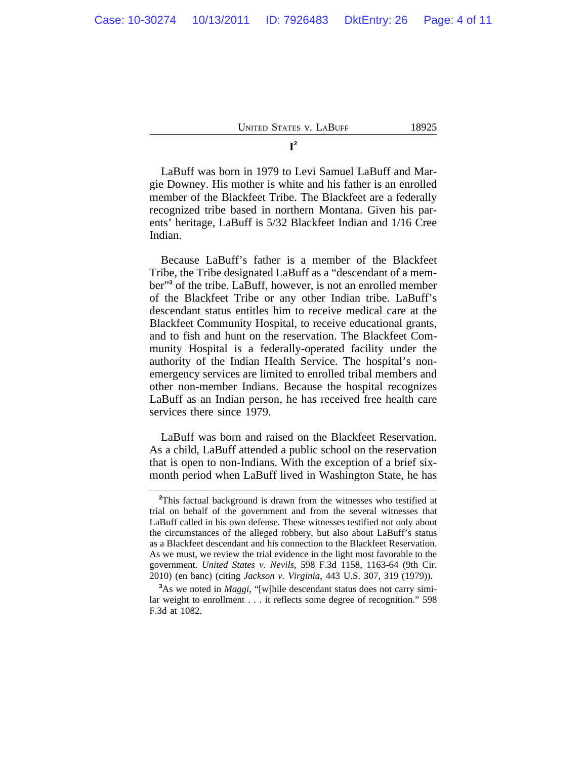LaBuff was born in 1979 to Levi Samuel LaBuff and Margie Downey. His mother is white and his father is an enrolled member of the Blackfeet Tribe. The Blackfeet are a federally recognized tribe based in northern Montana. Given his parents' heritage, LaBuff is 5/32 Blackfeet Indian and 1/16 Cree Indian.

Because LaBuff's father is a member of the Blackfeet Tribe, the Tribe designated LaBuff as a "descendant of a member"**<sup>3</sup>** of the tribe. LaBuff, however, is not an enrolled member of the Blackfeet Tribe or any other Indian tribe. LaBuff's descendant status entitles him to receive medical care at the Blackfeet Community Hospital, to receive educational grants, and to fish and hunt on the reservation. The Blackfeet Community Hospital is a federally-operated facility under the authority of the Indian Health Service. The hospital's nonemergency services are limited to enrolled tribal members and other non-member Indians. Because the hospital recognizes LaBuff as an Indian person, he has received free health care services there since 1979.

LaBuff was born and raised on the Blackfeet Reservation. As a child, LaBuff attended a public school on the reservation that is open to non-Indians. With the exception of a brief sixmonth period when LaBuff lived in Washington State, he has

**<sup>2</sup>**This factual background is drawn from the witnesses who testified at trial on behalf of the government and from the several witnesses that LaBuff called in his own defense. These witnesses testified not only about the circumstances of the alleged robbery, but also about LaBuff's status as a Blackfeet descendant and his connection to the Blackfeet Reservation. As we must, we review the trial evidence in the light most favorable to the government. *United States v. Nevils*, 598 F.3d 1158, 1163-64 (9th Cir. 2010) (en banc) (citing *Jackson v. Virginia*, 443 U.S. 307, 319 (1979)).

**<sup>3</sup>**As we noted in *Maggi*, "[w]hile descendant status does not carry similar weight to enrollment . . . it reflects some degree of recognition." 598 F.3d at 1082.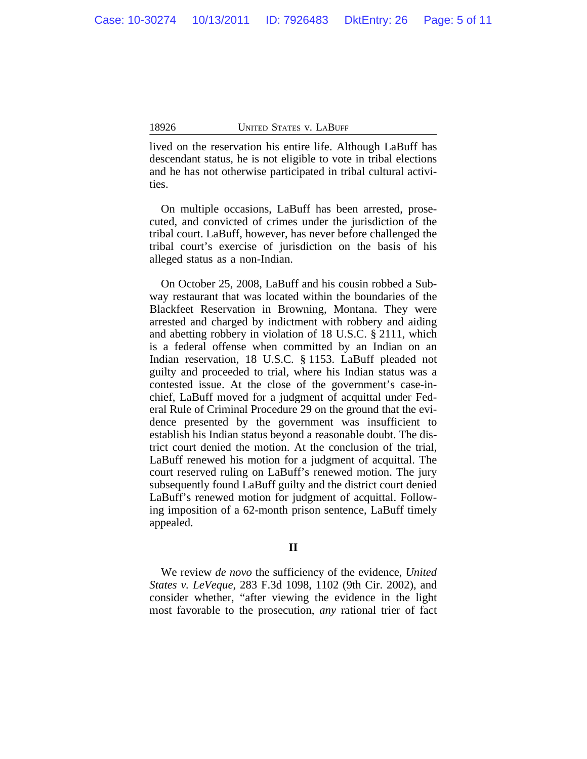lived on the reservation his entire life. Although LaBuff has descendant status, he is not eligible to vote in tribal elections and he has not otherwise participated in tribal cultural activities.

On multiple occasions, LaBuff has been arrested, prosecuted, and convicted of crimes under the jurisdiction of the tribal court. LaBuff, however, has never before challenged the tribal court's exercise of jurisdiction on the basis of his alleged status as a non-Indian.

On October 25, 2008, LaBuff and his cousin robbed a Subway restaurant that was located within the boundaries of the Blackfeet Reservation in Browning, Montana. They were arrested and charged by indictment with robbery and aiding and abetting robbery in violation of 18 U.S.C. § 2111, which is a federal offense when committed by an Indian on an Indian reservation, 18 U.S.C. § 1153. LaBuff pleaded not guilty and proceeded to trial, where his Indian status was a contested issue. At the close of the government's case-inchief, LaBuff moved for a judgment of acquittal under Federal Rule of Criminal Procedure 29 on the ground that the evidence presented by the government was insufficient to establish his Indian status beyond a reasonable doubt. The district court denied the motion. At the conclusion of the trial, LaBuff renewed his motion for a judgment of acquittal. The court reserved ruling on LaBuff's renewed motion. The jury subsequently found LaBuff guilty and the district court denied LaBuff's renewed motion for judgment of acquittal. Following imposition of a 62-month prison sentence, LaBuff timely appealed.

### **II**

We review *de novo* the sufficiency of the evidence, *United States v. LeVeque*, 283 F.3d 1098, 1102 (9th Cir. 2002), and consider whether, "after viewing the evidence in the light most favorable to the prosecution, *any* rational trier of fact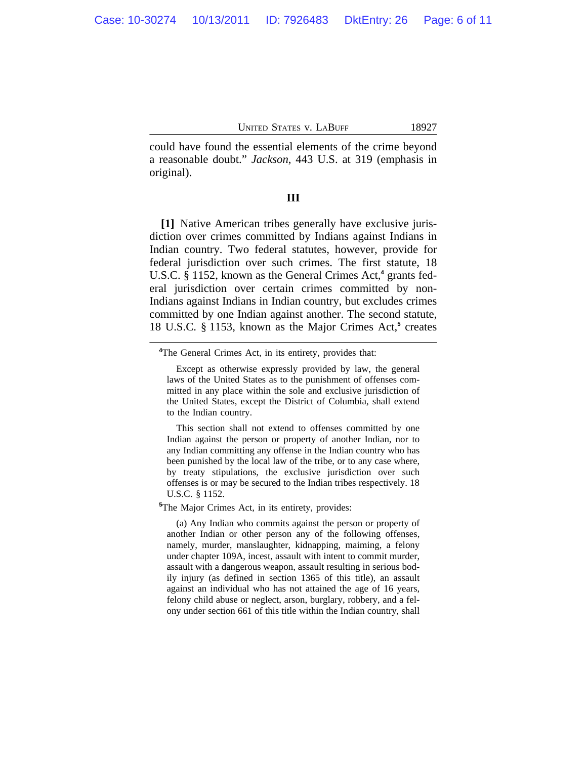could have found the essential elements of the crime beyond a reasonable doubt." *Jackson*, 443 U.S. at 319 (emphasis in original).

#### **III**

**[1]** Native American tribes generally have exclusive jurisdiction over crimes committed by Indians against Indians in Indian country. Two federal statutes, however, provide for federal jurisdiction over such crimes. The first statute, 18 U.S.C. § 1152, known as the General Crimes Act,**<sup>4</sup>** grants federal jurisdiction over certain crimes committed by non-Indians against Indians in Indian country, but excludes crimes committed by one Indian against another. The second statute, 18 U.S.C. § 1153, known as the Major Crimes Act,<sup>5</sup> creates

This section shall not extend to offenses committed by one Indian against the person or property of another Indian, nor to any Indian committing any offense in the Indian country who has been punished by the local law of the tribe, or to any case where, by treaty stipulations, the exclusive jurisdiction over such offenses is or may be secured to the Indian tribes respectively. 18 U.S.C. § 1152.

**<sup>5</sup>**The Major Crimes Act, in its entirety, provides:

(a) Any Indian who commits against the person or property of another Indian or other person any of the following offenses, namely, murder, manslaughter, kidnapping, maiming, a felony under chapter 109A, incest, assault with intent to commit murder, assault with a dangerous weapon, assault resulting in serious bodily injury (as defined in section 1365 of this title), an assault against an individual who has not attained the age of 16 years, felony child abuse or neglect, arson, burglary, robbery, and a felony under section 661 of this title within the Indian country, shall

**<sup>4</sup>**The General Crimes Act, in its entirety, provides that:

Except as otherwise expressly provided by law, the general laws of the United States as to the punishment of offenses committed in any place within the sole and exclusive jurisdiction of the United States, except the District of Columbia, shall extend to the Indian country.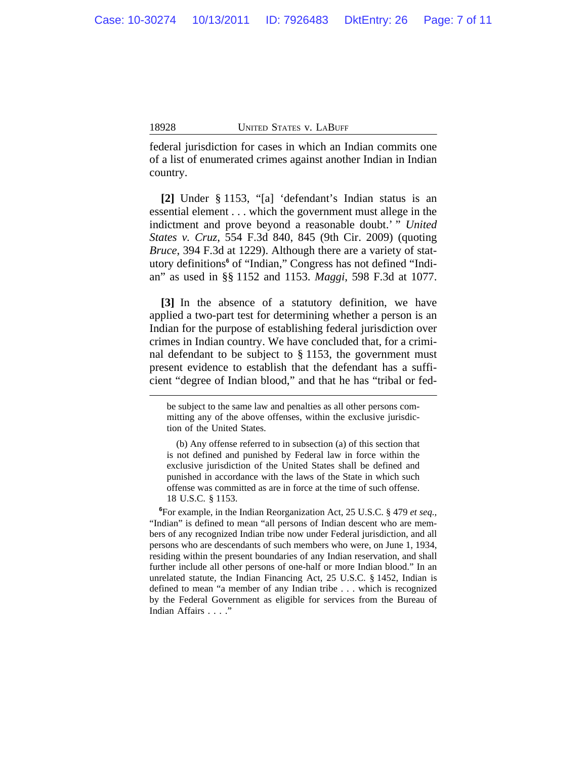federal jurisdiction for cases in which an Indian commits one of a list of enumerated crimes against another Indian in Indian country.

**[2]** Under § 1153, "[a] 'defendant's Indian status is an essential element . . . which the government must allege in the indictment and prove beyond a reasonable doubt.' " *United States v. Cruz*, 554 F.3d 840, 845 (9th Cir. 2009) (quoting *Bruce*, 394 F.3d at 1229). Although there are a variety of statutory definitions<sup>6</sup> of "Indian," Congress has not defined "Indian" as used in §§ 1152 and 1153. *Maggi*, 598 F.3d at 1077.

**[3]** In the absence of a statutory definition, we have applied a two-part test for determining whether a person is an Indian for the purpose of establishing federal jurisdiction over crimes in Indian country. We have concluded that, for a criminal defendant to be subject to § 1153, the government must present evidence to establish that the defendant has a sufficient "degree of Indian blood," and that he has "tribal or fed-

be subject to the same law and penalties as all other persons committing any of the above offenses, within the exclusive jurisdiction of the United States.

<sup>(</sup>b) Any offense referred to in subsection (a) of this section that is not defined and punished by Federal law in force within the exclusive jurisdiction of the United States shall be defined and punished in accordance with the laws of the State in which such offense was committed as are in force at the time of such offense. 18 U.S.C. § 1153.

**<sup>6</sup>**For example, in the Indian Reorganization Act, 25 U.S.C. § 479 *et seq.,* "Indian" is defined to mean "all persons of Indian descent who are members of any recognized Indian tribe now under Federal jurisdiction, and all persons who are descendants of such members who were, on June 1, 1934, residing within the present boundaries of any Indian reservation, and shall further include all other persons of one-half or more Indian blood." In an unrelated statute, the Indian Financing Act, 25 U.S.C. § 1452, Indian is defined to mean "a member of any Indian tribe . . . which is recognized by the Federal Government as eligible for services from the Bureau of Indian Affairs . . . ."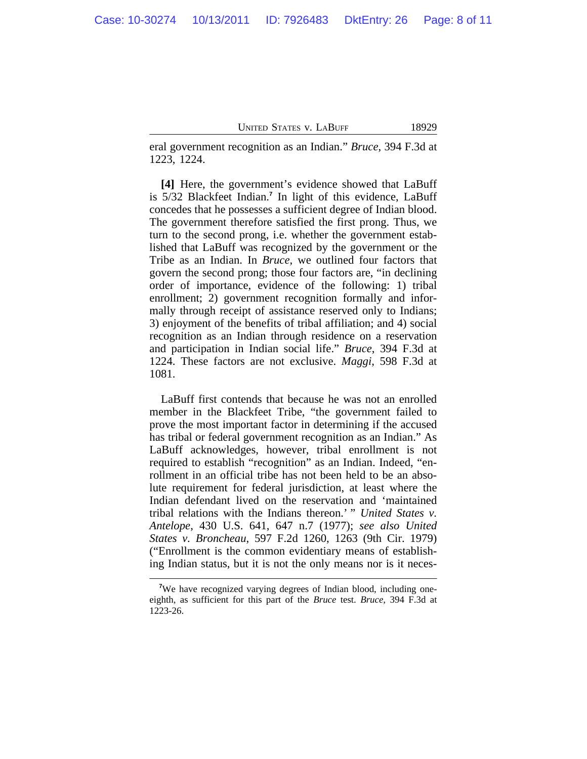eral government recognition as an Indian." *Bruce*, 394 F.3d at 1223, 1224.

**[4]** Here, the government's evidence showed that LaBuff is 5/32 Blackfeet Indian.**<sup>7</sup>** In light of this evidence, LaBuff concedes that he possesses a sufficient degree of Indian blood. The government therefore satisfied the first prong. Thus, we turn to the second prong, i.e. whether the government established that LaBuff was recognized by the government or the Tribe as an Indian. In *Bruce*, we outlined four factors that govern the second prong; those four factors are, "in declining order of importance, evidence of the following: 1) tribal enrollment; 2) government recognition formally and informally through receipt of assistance reserved only to Indians; 3) enjoyment of the benefits of tribal affiliation; and 4) social recognition as an Indian through residence on a reservation and participation in Indian social life." *Bruce*, 394 F.3d at 1224. These factors are not exclusive. *Maggi*, 598 F.3d at 1081.

LaBuff first contends that because he was not an enrolled member in the Blackfeet Tribe, "the government failed to prove the most important factor in determining if the accused has tribal or federal government recognition as an Indian." As LaBuff acknowledges, however, tribal enrollment is not required to establish "recognition" as an Indian. Indeed, "enrollment in an official tribe has not been held to be an absolute requirement for federal jurisdiction, at least where the Indian defendant lived on the reservation and 'maintained tribal relations with the Indians thereon.' " *United States v. Antelope*, 430 U.S. 641, 647 n.7 (1977); *see also United States v. Broncheau*, 597 F.2d 1260, 1263 (9th Cir. 1979) ("Enrollment is the common evidentiary means of establishing Indian status, but it is not the only means nor is it neces-

**<sup>7</sup>**We have recognized varying degrees of Indian blood, including oneeighth, as sufficient for this part of the *Bruce* test. *Bruce*, 394 F.3d at 1223-26.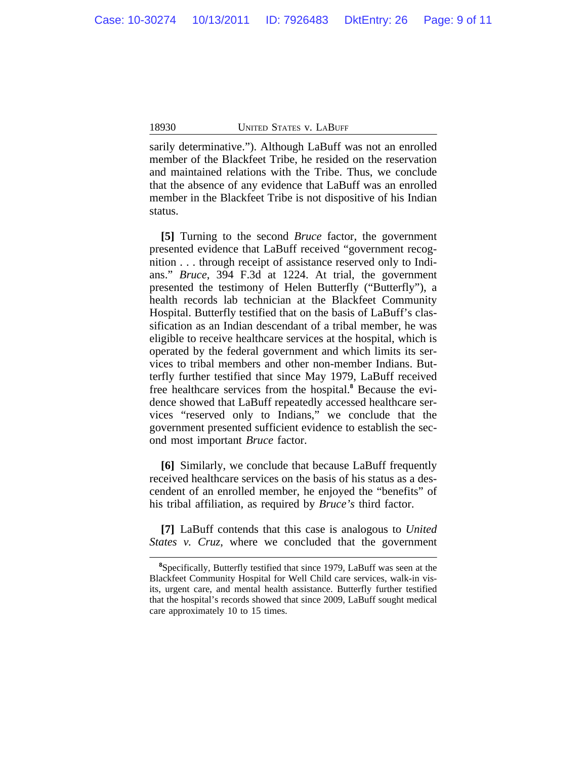sarily determinative."). Although LaBuff was not an enrolled member of the Blackfeet Tribe, he resided on the reservation and maintained relations with the Tribe. Thus, we conclude that the absence of any evidence that LaBuff was an enrolled member in the Blackfeet Tribe is not dispositive of his Indian status.

**[5]** Turning to the second *Bruce* factor, the government presented evidence that LaBuff received "government recognition . . . through receipt of assistance reserved only to Indians." *Bruce*, 394 F.3d at 1224. At trial, the government presented the testimony of Helen Butterfly ("Butterfly"), a health records lab technician at the Blackfeet Community Hospital. Butterfly testified that on the basis of LaBuff's classification as an Indian descendant of a tribal member, he was eligible to receive healthcare services at the hospital, which is operated by the federal government and which limits its services to tribal members and other non-member Indians. Butterfly further testified that since May 1979, LaBuff received free healthcare services from the hospital.**<sup>8</sup>** Because the evidence showed that LaBuff repeatedly accessed healthcare services "reserved only to Indians," we conclude that the government presented sufficient evidence to establish the second most important *Bruce* factor.

**[6]** Similarly, we conclude that because LaBuff frequently received healthcare services on the basis of his status as a descendent of an enrolled member, he enjoyed the "benefits" of his tribal affiliation, as required by *Bruce's* third factor.

**[7]** LaBuff contends that this case is analogous to *United States v. Cruz*, where we concluded that the government

**<sup>8</sup>**Specifically, Butterfly testified that since 1979, LaBuff was seen at the Blackfeet Community Hospital for Well Child care services, walk-in visits, urgent care, and mental health assistance. Butterfly further testified that the hospital's records showed that since 2009, LaBuff sought medical care approximately 10 to 15 times.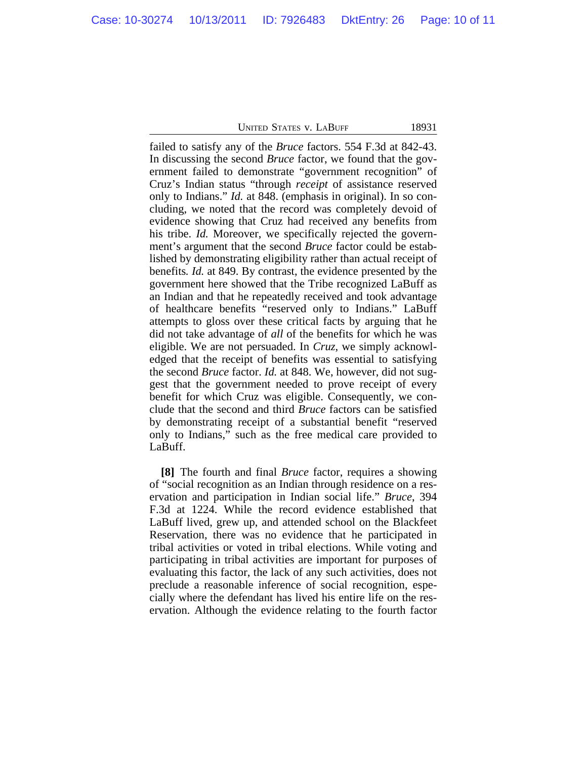failed to satisfy any of the *Bruce* factors. 554 F.3d at 842-43. In discussing the second *Bruce* factor, we found that the government failed to demonstrate "government recognition" of Cruz's Indian status "through *receipt* of assistance reserved only to Indians." *Id.* at 848. (emphasis in original). In so concluding, we noted that the record was completely devoid of evidence showing that Cruz had received any benefits from his tribe. *Id.* Moreover, we specifically rejected the government's argument that the second *Bruce* factor could be established by demonstrating eligibility rather than actual receipt of benefits*. Id.* at 849. By contrast, the evidence presented by the government here showed that the Tribe recognized LaBuff as an Indian and that he repeatedly received and took advantage of healthcare benefits "reserved only to Indians." LaBuff attempts to gloss over these critical facts by arguing that he did not take advantage of *all* of the benefits for which he was eligible. We are not persuaded. In *Cruz*, we simply acknowledged that the receipt of benefits was essential to satisfying the second *Bruce* factor. *Id.* at 848. We, however, did not suggest that the government needed to prove receipt of every benefit for which Cruz was eligible. Consequently, we conclude that the second and third *Bruce* factors can be satisfied by demonstrating receipt of a substantial benefit "reserved only to Indians," such as the free medical care provided to LaBuff.

**[8]** The fourth and final *Bruce* factor, requires a showing of "social recognition as an Indian through residence on a reservation and participation in Indian social life." *Bruce*, 394 F.3d at 1224. While the record evidence established that LaBuff lived, grew up, and attended school on the Blackfeet Reservation, there was no evidence that he participated in tribal activities or voted in tribal elections. While voting and participating in tribal activities are important for purposes of evaluating this factor, the lack of any such activities, does not preclude a reasonable inference of social recognition, especially where the defendant has lived his entire life on the reservation. Although the evidence relating to the fourth factor